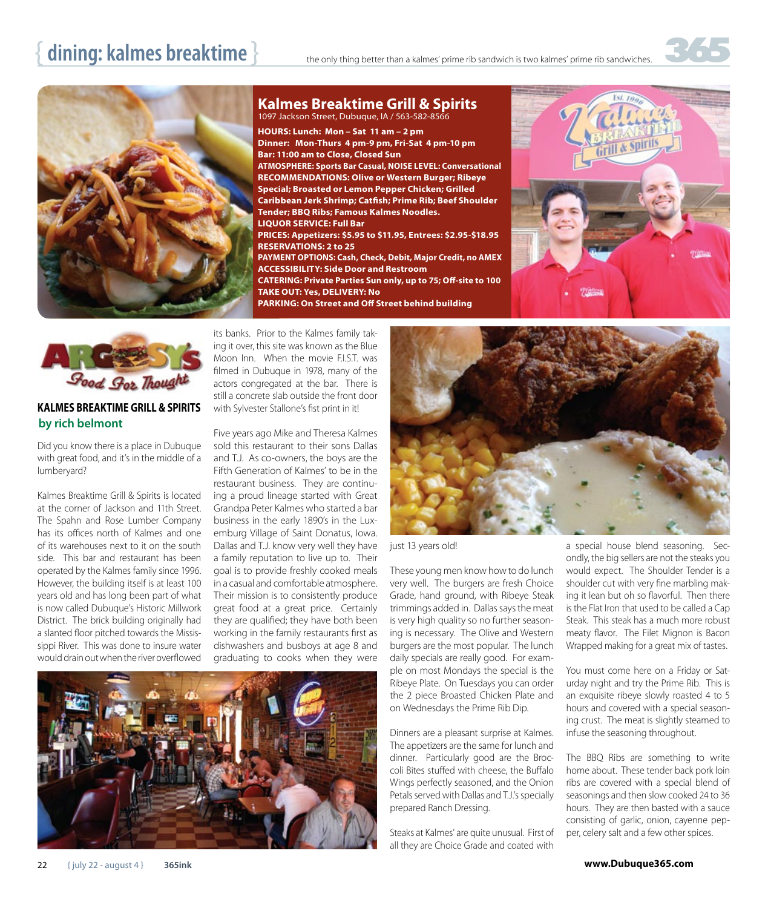## dining: kalmes breaktime **breach the Superstand Conding better than a kalmes' prime rib sandwich is two kalmes' prime rib sandwiches.**



1097 Jackson Street, Dubuque, IA / 563-582-8566 **HOURS: Lunch: Mon – Sat 11 am – 2 pm Dinner: Mon-Thurs 4 pm-9 pm, Fri-Sat 4 pm-10 pm Bar: 11:00 am to Close, Closed Sun ATMOSPHERE: Sports Bar Casual, NOISE LEVEL: Conversational RECOMMENDATIONS: Olive or Western Burger; Ribeye Special; Broasted or Lemon Pepper Chicken; Grilled Caribbean Jerk Shrimp; Catfish; Prime Rib; Beef Shoulder Tender; BBQ Ribs; Famous Kalmes Noodles. LIQUOR SERVICE: Full Bar PRICES: Appetizers: \$5.95 to \$11.95, Entrees: \$2.95-\$18.95 RESERVATIONS: 2 to 25 PAYMENT OPTIONS: Cash, Check, Debit, Major Credit, no AMEX ACCESSIBILITY: Side Door and Restroom CATERING: Private Parties Sun only, up to 75; Off-site to 100 TAKE OUT: Yes, DELIVERY: No**

**Kalmes Breaktime Grill & Spirits**

**PARKING: On Street and Off Street behind building**



## **KALMES BREAKTIME GRILL & SPIRITS by rich belmont**

Did you know there is a place in Dubuque with great food, and it's in the middle of a lumberyard?

Kalmes Breaktime Grill & Spirits is located at the corner of Jackson and 11th Street. The Spahn and Rose Lumber Company has its offices north of Kalmes and one of its warehouses next to it on the south side. This bar and restaurant has been operated by the Kalmes family since 1996. However, the building itself is at least 100 years old and has long been part of what is now called Dubuque's Historic Millwork District. The brick building originally had a slanted floor pitched towards the Mississippi River. This was done to insure water would drain out when the river overflowed

its banks. Prior to the Kalmes family taking it over, this site was known as the Blue Moon Inn. When the movie F.I.S.T. was filmed in Dubuque in 1978, many of the actors congregated at the bar. There is still a concrete slab outside the front door with Sylvester Stallone's fist print in it!

Five years ago Mike and Theresa Kalmes sold this restaurant to their sons Dallas and T.J. As co-owners, the boys are the Fifth Generation of Kalmes' to be in the restaurant business. They are continuing a proud lineage started with Great Grandpa Peter Kalmes who started a bar business in the early 1890's in the Luxemburg Village of Saint Donatus, Iowa. Dallas and T.J. know very well they have a family reputation to live up to. Their goal is to provide freshly cooked meals in a casual and comfortable atmosphere. Their mission is to consistently produce great food at a great price. Certainly they are qualified; they have both been working in the family restaurants first as dishwashers and busboys at age 8 and graduating to cooks when they were





just 13 years old!

These young men know how to do lunch very well. The burgers are fresh Choice Grade, hand ground, with Ribeye Steak trimmings added in. Dallas says the meat is very high quality so no further seasoning is necessary. The Olive and Western burgers are the most popular. The lunch daily specials are really good. For example on most Mondays the special is the Ribeye Plate. On Tuesdays you can order the 2 piece Broasted Chicken Plate and on Wednesdays the Prime Rib Dip.

Dinners are a pleasant surprise at Kalmes. The appetizers are the same for lunch and dinner. Particularly good are the Broccoli Bites stuffed with cheese, the Buffalo Wings perfectly seasoned, and the Onion Petals served with Dallas and T.J.'s specially prepared Ranch Dressing.

Steaks at Kalmes' are quite unusual. First of all they are Choice Grade and coated with

a special house blend seasoning. Secondly, the big sellers are not the steaks you would expect. The Shoulder Tender is a shoulder cut with very fine marbling making it lean but oh so flavorful. Then there is the Flat Iron that used to be called a Cap Steak. This steak has a much more robust meaty flavor. The Filet Mignon is Bacon Wrapped making for a great mix of tastes.

You must come here on a Friday or Saturday night and try the Prime Rib. This is an exquisite ribeye slowly roasted 4 to 5 hours and covered with a special seasoning crust. The meat is slightly steamed to infuse the seasoning throughout.

The BBQ Ribs are something to write home about. These tender back pork loin ribs are covered with a special blend of seasonings and then slow cooked 24 to 36 hours. They are then basted with a sauce consisting of garlic, onion, cayenne pepper, celery salt and a few other spices.